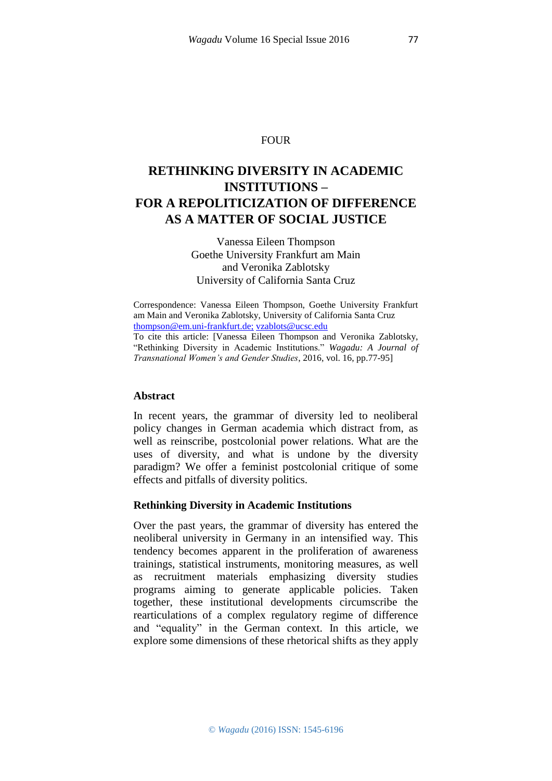#### FOUR

# **RETHINKING DIVERSITY IN ACADEMIC INSTITUTIONS – FOR A REPOLITICIZATION OF DIFFERENCE AS A MATTER OF SOCIAL JUSTICE**

Vanessa Eileen Thompson Goethe University Frankfurt am Main and Veronika Zablotsky University of California Santa Cruz

Correspondence: Vanessa Eileen Thompson, Goethe University Frankfurt am Main and Veronika Zablotsky, University of California Santa Cruz [thompson@em.uni-frankfurt.de;](javascript:void(window.open() [vzablots@ucsc.edu](javascript:void(window.open() To cite this article: [Vanessa Eileen Thompson and Veronika Zablotsky, "Rethinking Diversity in Academic Institutions." *Wagadu: A Journal of Transnational Women's and Gender Studies*, 2016, vol. 16, pp.77-95]

#### **Abstract**

In recent years, the grammar of diversity led to neoliberal policy changes in German academia which distract from, as well as reinscribe, postcolonial power relations. What are the uses of diversity, and what is undone by the diversity paradigm? We offer a feminist postcolonial critique of some effects and pitfalls of diversity politics.

#### **Rethinking Diversity in Academic Institutions**

Over the past years, the grammar of diversity has entered the neoliberal university in Germany in an intensified way. This tendency becomes apparent in the proliferation of awareness trainings, statistical instruments, monitoring measures, as well as recruitment materials emphasizing diversity studies programs aiming to generate applicable policies. Taken together, these institutional developments circumscribe the rearticulations of a complex regulatory regime of difference and "equality" in the German context. In this article, we explore some dimensions of these rhetorical shifts as they apply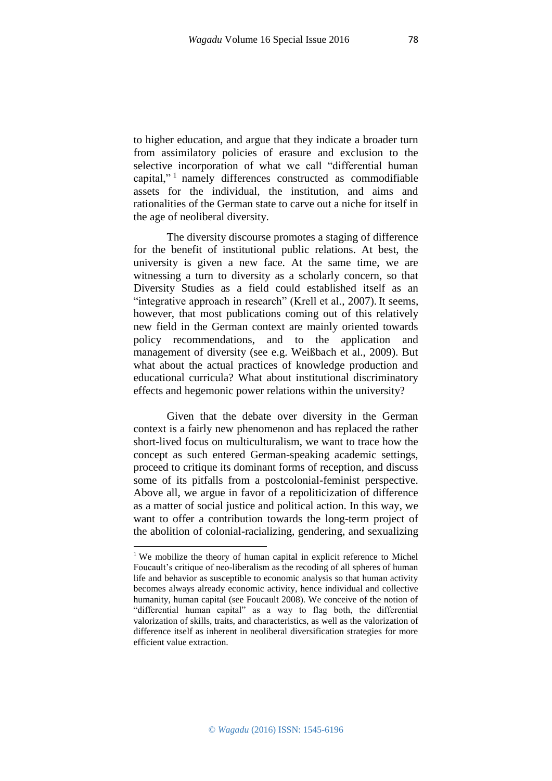to higher education, and argue that they indicate a broader turn from assimilatory policies of erasure and exclusion to the selective incorporation of what we call "differential human capital,"<sup>1</sup> namely differences constructed as commodifiable assets for the individual, the institution, and aims and

rationalities of the German state to carve out a niche for itself in

the age of neoliberal diversity.

1

The diversity discourse promotes a staging of difference for the benefit of institutional public relations. At best, the university is given a new face. At the same time, we are witnessing a turn to diversity as a scholarly concern, so that Diversity Studies as a field could established itself as an "integrative approach in research" (Krell et al., 2007). It seems, however, that most publications coming out of this relatively new field in the German context are mainly oriented towards policy recommendations, and to the application and management of diversity (see e.g. Weißbach et al., 2009). But what about the actual practices of knowledge production and educational curricula? What about institutional discriminatory effects and hegemonic power relations within the university?

Given that the debate over diversity in the German context is a fairly new phenomenon and has replaced the rather short-lived focus on multiculturalism, we want to trace how the concept as such entered German-speaking academic settings, proceed to critique its dominant forms of reception, and discuss some of its pitfalls from a postcolonial-feminist perspective. Above all, we argue in favor of a repoliticization of difference as a matter of social justice and political action. In this way, we want to offer a contribution towards the long-term project of the abolition of colonial-racializing, gendering, and sexualizing

<sup>&</sup>lt;sup>1</sup> We mobilize the theory of human capital in explicit reference to Michel Foucault's critique of neo-liberalism as the recoding of all spheres of human life and behavior as susceptible to economic analysis so that human activity becomes always already economic activity, hence individual and collective humanity, human capital (see Foucault 2008). We conceive of the notion of "differential human capital" as a way to flag both, the differential valorization of skills, traits, and characteristics, as well as the valorization of difference itself as inherent in neoliberal diversification strategies for more efficient value extraction.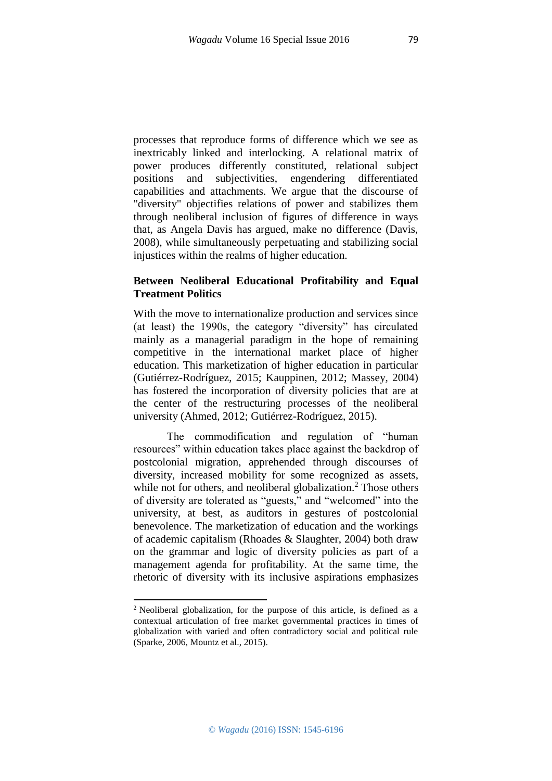processes that reproduce forms of difference which we see as inextricably linked and interlocking. A relational matrix of power produces differently constituted, relational subject positions and subjectivities, engendering differentiated capabilities and attachments. We argue that the discourse of "diversity" objectifies relations of power and stabilizes them through neoliberal inclusion of figures of difference in ways that, as Angela Davis has argued, make no difference (Davis, 2008), while simultaneously perpetuating and stabilizing social injustices within the realms of higher education.

# **Between Neoliberal Educational Profitability and Equal Treatment Politics**

With the move to internationalize production and services since (at least) the 1990s, the category "diversity" has circulated mainly as a managerial paradigm in the hope of remaining competitive in the international market place of higher education. This marketization of higher education in particular (Gutiérrez-Rodríguez, 2015; Kauppinen, 2012; Massey, 2004) has fostered the incorporation of diversity policies that are at the center of the restructuring processes of the neoliberal university (Ahmed, 2012; Gutiérrez-Rodríguez, 2015).

The commodification and regulation of "human resources" within education takes place against the backdrop of postcolonial migration, apprehended through discourses of diversity, increased mobility for some recognized as assets, while not for others, and neoliberal globalization.<sup>2</sup> Those others of diversity are tolerated as "guests," and "welcomed" into the university, at best, as auditors in gestures of postcolonial benevolence. The marketization of education and the workings of academic capitalism (Rhoades & Slaughter, 2004) both draw on the grammar and logic of diversity policies as part of a management agenda for profitability. At the same time, the rhetoric of diversity with its inclusive aspirations emphasizes

**.** 

<sup>2</sup> Neoliberal globalization, for the purpose of this article, is defined as a contextual articulation of free market governmental practices in times of globalization with varied and often contradictory social and political rule (Sparke, 2006, Mountz et al., 2015).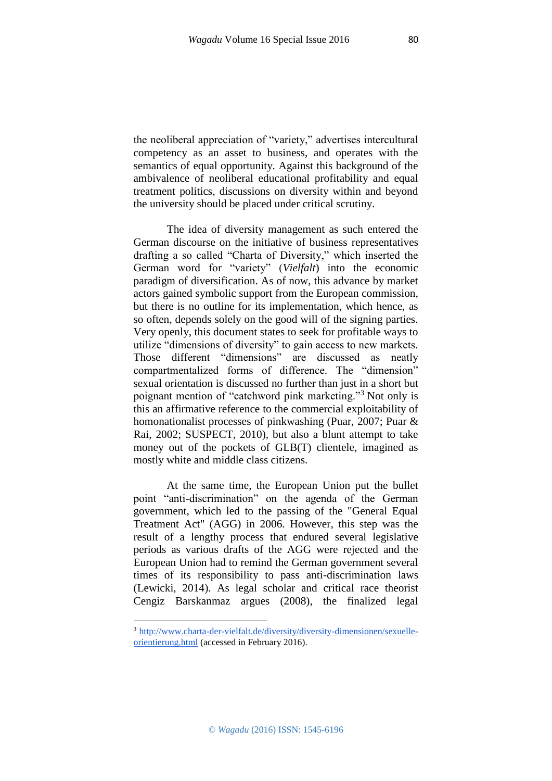the neoliberal appreciation of "variety," advertises intercultural competency as an asset to business, and operates with the semantics of equal opportunity. Against this background of the ambivalence of neoliberal educational profitability and equal treatment politics, discussions on diversity within and beyond the university should be placed under critical scrutiny.

The idea of diversity management as such entered the German discourse on the initiative of business representatives drafting a so called "Charta of Diversity," which inserted the German word for "variety" (*Vielfalt*) into the economic paradigm of diversification. As of now, this advance by market actors gained symbolic support from the European commission, but there is no outline for its implementation, which hence, as so often, depends solely on the good will of the signing parties. Very openly, this document states to seek for profitable ways to utilize "dimensions of diversity" to gain access to new markets. Those different "dimensions" are discussed as neatly compartmentalized forms of difference. The "dimension" sexual orientation is discussed no further than just in a short but poignant mention of "catchword pink marketing."<sup>3</sup> Not only is this an affirmative reference to the commercial exploitability of homonationalist processes of pinkwashing (Puar, 2007; Puar & Rai, 2002; SUSPECT, 2010), but also a blunt attempt to take money out of the pockets of GLB(T) clientele, imagined as mostly white and middle class citizens.

At the same time, the European Union put the bullet point "anti-discrimination" on the agenda of the German government, which led to the passing of the "General Equal Treatment Act" (AGG) in 2006. However, this step was the result of a lengthy process that endured several legislative periods as various drafts of the AGG were rejected and the European Union had to remind the German government several times of its responsibility to pass anti-discrimination laws (Lewicki, 2014). As legal scholar and critical race theorist Cengiz Barskanmaz argues (2008), the finalized legal

<sup>3</sup> [http://www.charta-der-vielfalt.de/diversity/diversity-dimensionen/sexuelle](http://www.charta-der-vielfalt.de/diversity/diversity-dimensionen/sexuelle-orientierung.html)[orientierung.html](http://www.charta-der-vielfalt.de/diversity/diversity-dimensionen/sexuelle-orientierung.html) (accessed in February 2016).

**.**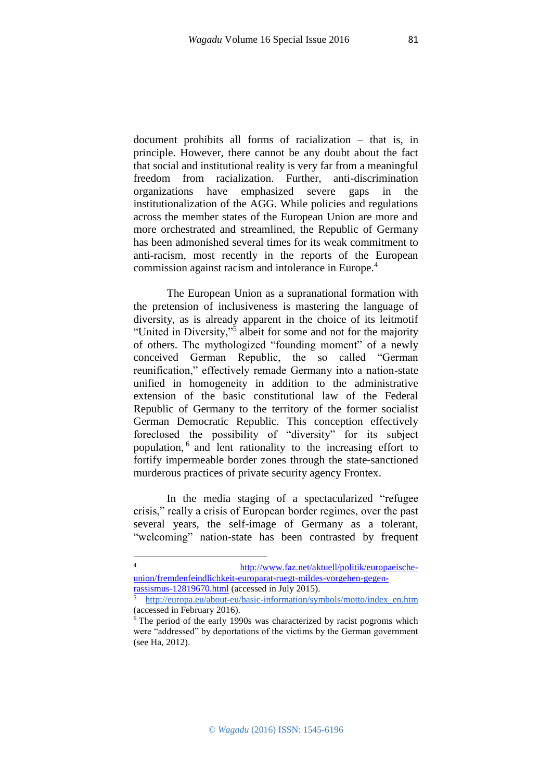document prohibits all forms of racialization – that is, in principle. However, there cannot be any doubt about the fact that social and institutional reality is very far from a meaningful freedom from racialization. Further, anti-discrimination organizations have emphasized severe gaps in the institutionalization of the AGG. While policies and regulations across the member states of the European Union are more and more orchestrated and streamlined, the Republic of Germany has been admonished several times for its weak commitment to anti-racism, most recently in the reports of the European commission against racism and intolerance in Europe.<sup>4</sup>

The European Union as a supranational formation with the pretension of inclusiveness is mastering the language of diversity, as is already apparent in the choice of its leitmotif "United in Diversity,"<sup>5</sup> albeit for some and not for the majority of others. The mythologized "founding moment" of a newly conceived German Republic, the so called "German reunification," effectively remade Germany into a nation-state unified in homogeneity in addition to the administrative extension of the basic constitutional law of the Federal Republic of Germany to the territory of the former socialist German Democratic Republic. This conception effectively foreclosed the possibility of "diversity" for its subject population, <sup>6</sup> and lent rationality to the increasing effort to fortify impermeable border zones through the state-sanctioned murderous practices of private security agency Frontex.

In the media staging of a spectacularized "refugee crisis," really a crisis of European border regimes, over the past several years, the self-image of Germany as a tolerant, "welcoming" nation-state has been contrasted by frequent

 $\overline{4}$ <sup>4</sup> [http://www.faz.net/aktuell/politik/europaeische](http://www.faz.net/aktuell/politik/europaeische-union/fremdenfeindlichkeit-europarat-ruegt-mildes-vorgehen-gegen-rassismus-12819670.html)[union/fremdenfeindlichkeit-europarat-ruegt-mildes-vorgehen-gegen](http://www.faz.net/aktuell/politik/europaeische-union/fremdenfeindlichkeit-europarat-ruegt-mildes-vorgehen-gegen-rassismus-12819670.html)[rassismus-12819670.html](http://www.faz.net/aktuell/politik/europaeische-union/fremdenfeindlichkeit-europarat-ruegt-mildes-vorgehen-gegen-rassismus-12819670.html) (accessed in July 2015).

<sup>5</sup> http://europa.eu/about-eu/basic-information/symbols/motto/index\_en.htm (accessed in February 2016).

<sup>&</sup>lt;sup>6</sup> The period of the early 1990s was characterized by racist pogroms which were "addressed" by deportations of the victims by the German government (see Ha, 2012).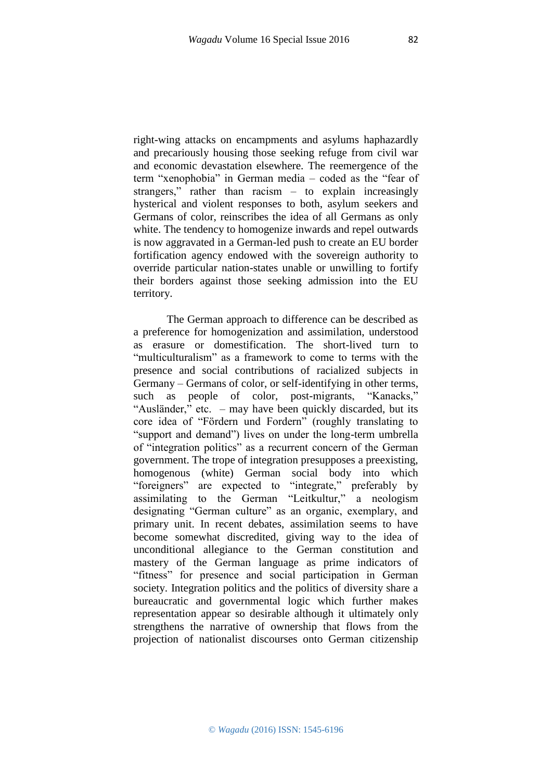right-wing attacks on encampments and asylums haphazardly and precariously housing those seeking refuge from civil war and economic devastation elsewhere. The reemergence of the term "xenophobia" in German media – coded as the "fear of strangers," rather than racism – to explain increasingly hysterical and violent responses to both, asylum seekers and Germans of color, reinscribes the idea of all Germans as only white. The tendency to homogenize inwards and repel outwards is now aggravated in a German-led push to create an EU border fortification agency endowed with the sovereign authority to override particular nation-states unable or unwilling to fortify their borders against those seeking admission into the EU territory.

The German approach to difference can be described as a preference for homogenization and assimilation, understood as erasure or domestification. The short-lived turn to "multiculturalism" as a framework to come to terms with the presence and social contributions of racialized subjects in Germany – Germans of color, or self-identifying in other terms, such as people of color, post-migrants, "Kanacks," "Ausländer," etc. – may have been quickly discarded, but its core idea of "Fördern und Fordern" (roughly translating to "support and demand") lives on under the long-term umbrella of "integration politics" as a recurrent concern of the German government. The trope of integration presupposes a preexisting, homogenous (white) German social body into which "foreigners" are expected to "integrate," preferably by assimilating to the German "Leitkultur," a neologism designating "German culture" as an organic, exemplary, and primary unit. In recent debates, assimilation seems to have become somewhat discredited, giving way to the idea of unconditional allegiance to the German constitution and mastery of the German language as prime indicators of "fitness" for presence and social participation in German society. Integration politics and the politics of diversity share a bureaucratic and governmental logic which further makes representation appear so desirable although it ultimately only strengthens the narrative of ownership that flows from the projection of nationalist discourses onto German citizenship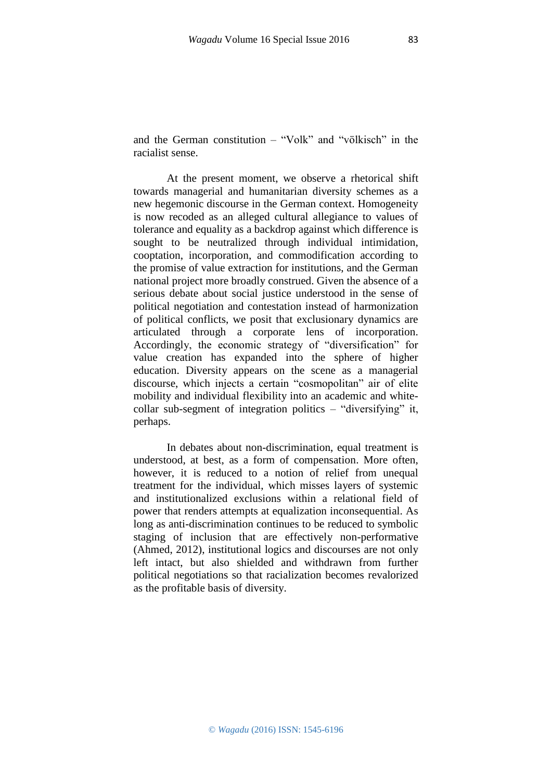racialist sense.

At the present moment, we observe a rhetorical shift towards managerial and humanitarian diversity schemes as a new hegemonic discourse in the German context. Homogeneity is now recoded as an alleged cultural allegiance to values of tolerance and equality as a backdrop against which difference is sought to be neutralized through individual intimidation, cooptation, incorporation, and commodification according to the promise of value extraction for institutions, and the German national project more broadly construed. Given the absence of a serious debate about social justice understood in the sense of political negotiation and contestation instead of harmonization of political conflicts, we posit that exclusionary dynamics are articulated through a corporate lens of incorporation. Accordingly, the economic strategy of "diversification" for value creation has expanded into the sphere of higher education. Diversity appears on the scene as a managerial discourse, which injects a certain "cosmopolitan" air of elite mobility and individual flexibility into an academic and whitecollar sub-segment of integration politics – "diversifying" it, perhaps.

In debates about non-discrimination, equal treatment is understood, at best, as a form of compensation. More often, however, it is reduced to a notion of relief from unequal treatment for the individual, which misses layers of systemic and institutionalized exclusions within a relational field of power that renders attempts at equalization inconsequential. As long as anti-discrimination continues to be reduced to symbolic staging of inclusion that are effectively non-performative (Ahmed, 2012), institutional logics and discourses are not only left intact, but also shielded and withdrawn from further political negotiations so that racialization becomes revalorized as the profitable basis of diversity.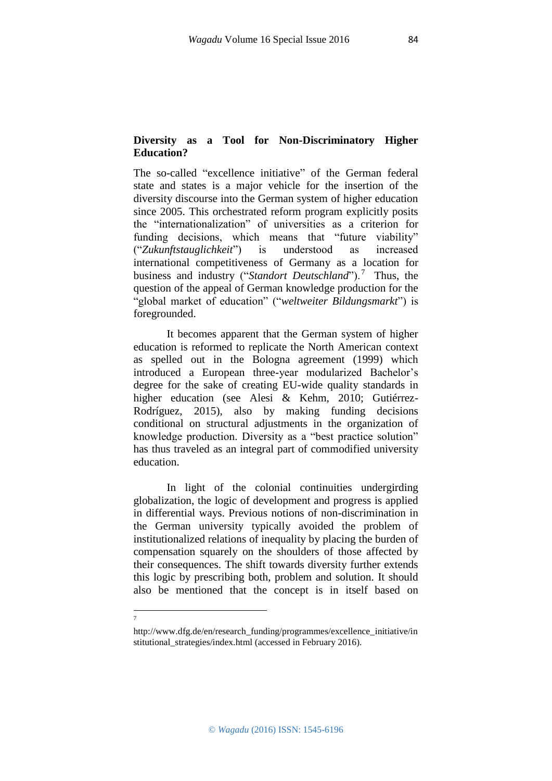## **Diversity as a Tool for Non-Discriminatory Higher Education?**

The so-called "excellence initiative" of the German federal state and states is a major vehicle for the insertion of the diversity discourse into the German system of higher education since 2005. This orchestrated reform program explicitly posits the "internationalization" of universities as a criterion for funding decisions, which means that "future viability" ("*Zukunftstauglichkeit*") is understood as increased international competitiveness of Germany as a location for business and industry ("Standort Deutschland").<sup>7</sup> Thus, the question of the appeal of German knowledge production for the "global market of education" ("*weltweiter Bildungsmarkt*") is foregrounded.

It becomes apparent that the German system of higher education is reformed to replicate the North American context as spelled out in the Bologna agreement (1999) which introduced a European three-year modularized Bachelor's degree for the sake of creating EU-wide quality standards in higher education (see Alesi & Kehm, 2010; Gutiérrez-Rodríguez, 2015), also by making funding decisions conditional on structural adjustments in the organization of knowledge production. Diversity as a "best practice solution" has thus traveled as an integral part of commodified university education.

In light of the colonial continuities undergirding globalization, the logic of development and progress is applied in differential ways. Previous notions of non-discrimination in the German university typically avoided the problem of institutionalized relations of inequality by placing the burden of compensation squarely on the shoulders of those affected by their consequences. The shift towards diversity further extends this logic by prescribing both, problem and solution. It should also be mentioned that the concept is in itself based on

 $\frac{1}{7}$ 

http://www.dfg.de/en/research\_funding/programmes/excellence\_initiative/in stitutional\_strategies/index.html (accessed in February 2016).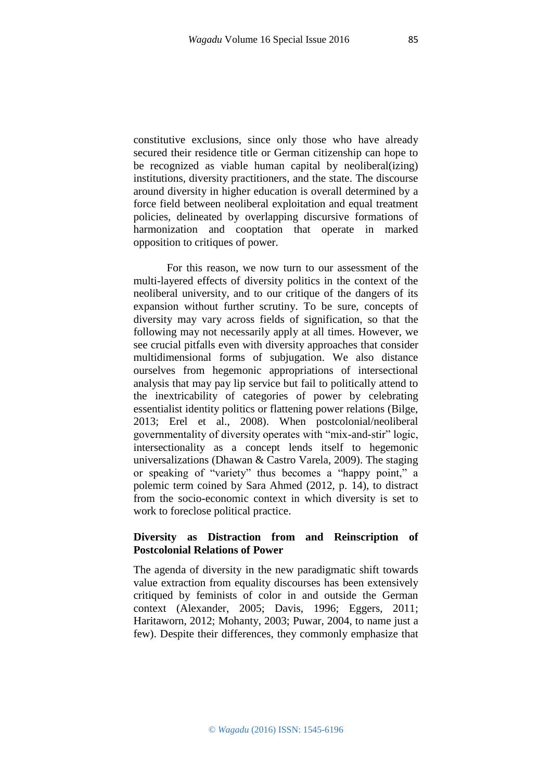constitutive exclusions, since only those who have already secured their residence title or German citizenship can hope to be recognized as viable human capital by neoliberal(izing) institutions, diversity practitioners, and the state. The discourse around diversity in higher education is overall determined by a force field between neoliberal exploitation and equal treatment policies, delineated by overlapping discursive formations of harmonization and cooptation that operate in marked opposition to critiques of power.

For this reason, we now turn to our assessment of the multi-layered effects of diversity politics in the context of the neoliberal university, and to our critique of the dangers of its expansion without further scrutiny. To be sure, concepts of diversity may vary across fields of signification, so that the following may not necessarily apply at all times. However, we see crucial pitfalls even with diversity approaches that consider multidimensional forms of subjugation. We also distance ourselves from hegemonic appropriations of intersectional analysis that may pay lip service but fail to politically attend to the inextricability of categories of power by celebrating essentialist identity politics or flattening power relations (Bilge, 2013; Erel et al., 2008). When postcolonial/neoliberal governmentality of diversity operates with "mix-and-stir" logic, intersectionality as a concept lends itself to hegemonic universalizations (Dhawan & Castro Varela, 2009). The staging or speaking of "variety" thus becomes a "happy point," a polemic term coined by Sara Ahmed (2012, p. 14), to distract from the socio-economic context in which diversity is set to work to foreclose political practice.

#### **Diversity as Distraction from and Reinscription of Postcolonial Relations of Power**

The agenda of diversity in the new paradigmatic shift towards value extraction from equality discourses has been extensively critiqued by feminists of color in and outside the German context (Alexander, 2005; Davis, 1996; Eggers, 2011; Haritaworn, 2012; Mohanty, 2003; Puwar, 2004, to name just a few). Despite their differences, they commonly emphasize that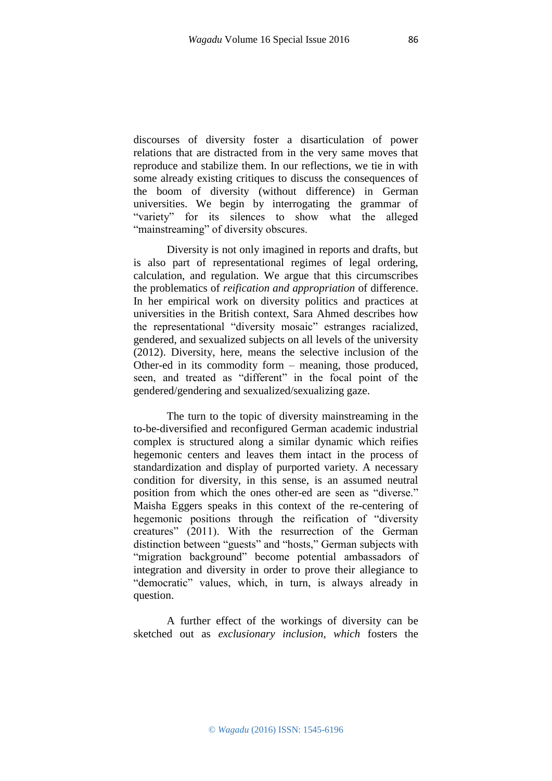discourses of diversity foster a disarticulation of power relations that are distracted from in the very same moves that reproduce and stabilize them. In our reflections, we tie in with some already existing critiques to discuss the consequences of the boom of diversity (without difference) in German universities. We begin by interrogating the grammar of "variety" for its silences to show what the alleged "mainstreaming" of diversity obscures.

Diversity is not only imagined in reports and drafts, but is also part of representational regimes of legal ordering, calculation, and regulation. We argue that this circumscribes the problematics of *reification and appropriation* of difference. In her empirical work on diversity politics and practices at universities in the British context, Sara Ahmed describes how the representational "diversity mosaic" estranges racialized, gendered, and sexualized subjects on all levels of the university (2012). Diversity, here, means the selective inclusion of the Other-ed in its commodity form – meaning, those produced, seen, and treated as "different" in the focal point of the gendered/gendering and sexualized/sexualizing gaze.

The turn to the topic of diversity mainstreaming in the to-be-diversified and reconfigured German academic industrial complex is structured along a similar dynamic which reifies hegemonic centers and leaves them intact in the process of standardization and display of purported variety. A necessary condition for diversity, in this sense, is an assumed neutral position from which the ones other-ed are seen as "diverse." Maisha Eggers speaks in this context of the re-centering of hegemonic positions through the reification of "diversity creatures" (2011). With the resurrection of the German distinction between "guests" and "hosts," German subjects with "migration background" become potential ambassadors of integration and diversity in order to prove their allegiance to "democratic" values, which, in turn, is always already in question.

A further effect of the workings of diversity can be sketched out as *exclusionary inclusion, which* fosters the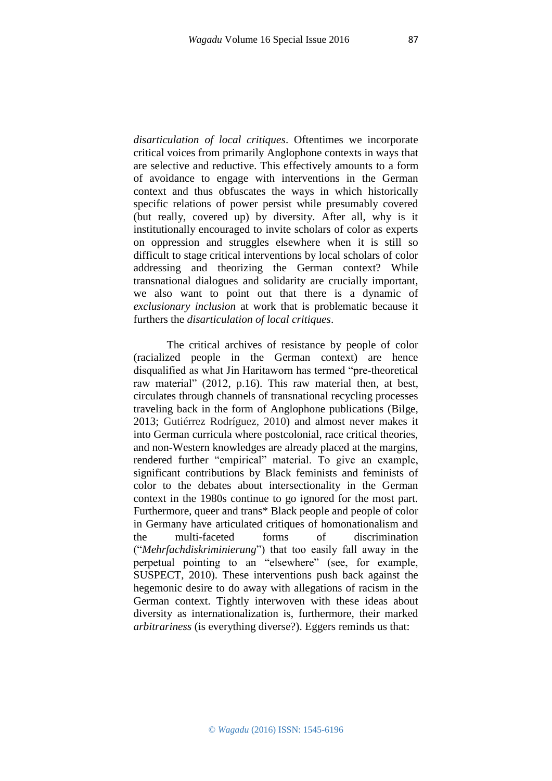*disarticulation of local critiques*. Oftentimes we incorporate critical voices from primarily Anglophone contexts in ways that are selective and reductive. This effectively amounts to a form of avoidance to engage with interventions in the German context and thus obfuscates the ways in which historically specific relations of power persist while presumably covered (but really, covered up) by diversity. After all, why is it institutionally encouraged to invite scholars of color as experts on oppression and struggles elsewhere when it is still so difficult to stage critical interventions by local scholars of color addressing and theorizing the German context? While transnational dialogues and solidarity are crucially important, we also want to point out that there is a dynamic of *exclusionary inclusion* at work that is problematic because it furthers the *disarticulation of local critiques*.

The critical archives of resistance by people of color (racialized people in the German context) are hence disqualified as what Jin Haritaworn has termed "pre-theoretical raw material" (2012, p.16). This raw material then, at best, circulates through channels of transnational recycling processes traveling back in the form of Anglophone publications (Bilge, 2013; Gutiérrez Rodríguez, 2010) and almost never makes it into German curricula where postcolonial, race critical theories, and non-Western knowledges are already placed at the margins, rendered further "empirical" material. To give an example, significant contributions by Black feminists and feminists of color to the debates about intersectionality in the German context in the 1980s continue to go ignored for the most part. Furthermore, queer and trans\* Black people and people of color in Germany have articulated critiques of homonationalism and the multi-faceted forms of discrimination ("*Mehrfachdiskriminierung*") that too easily fall away in the perpetual pointing to an "elsewhere" (see, for example, SUSPECT, 2010). These interventions push back against the hegemonic desire to do away with allegations of racism in the German context. Tightly interwoven with these ideas about diversity as internationalization is, furthermore, their marked *arbitrariness* (is everything diverse?). Eggers reminds us that: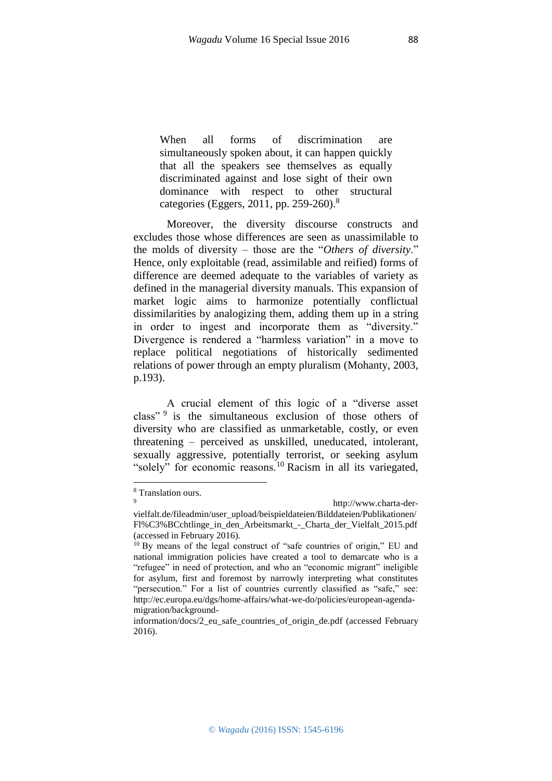When all forms of discrimination are simultaneously spoken about, it can happen quickly that all the speakers see themselves as equally discriminated against and lose sight of their own dominance with respect to other structural categories (Eggers, 2011, pp. 259-260).<sup>8</sup>

Moreover, the diversity discourse constructs and excludes those whose differences are seen as unassimilable to the molds of diversity – those are the "*Others of diversity*." Hence, only exploitable (read, assimilable and reified) forms of difference are deemed adequate to the variables of variety as defined in the managerial diversity manuals. This expansion of market logic aims to harmonize potentially conflictual dissimilarities by analogizing them, adding them up in a string in order to ingest and incorporate them as "diversity." Divergence is rendered a "harmless variation" in a move to replace political negotiations of historically sedimented relations of power through an empty pluralism (Mohanty, 2003, p.193).

A crucial element of this logic of a "diverse asset class"<sup>9</sup> is the simultaneous exclusion of those others of diversity who are classified as unmarketable, costly, or even threatening – perceived as unskilled, uneducated, intolerant, sexually aggressive, potentially terrorist, or seeking asylum "solely" for economic reasons.<sup>10</sup> Racism in all its variegated,

1

<sup>8</sup> Translation ours.

http://www.charta-der-

vielfalt.de/fileadmin/user\_upload/beispieldateien/Bilddateien/Publikationen/ Fl%C3%BCchtlinge\_in\_den\_Arbeitsmarkt\_-\_Charta\_der\_Vielfalt\_2015.pdf (accessed in February 2016).

<sup>&</sup>lt;sup>10</sup> By means of the legal construct of "safe countries of origin," EU and national immigration policies have created a tool to demarcate who is a "refugee" in need of protection, and who an "economic migrant" ineligible for asylum, first and foremost by narrowly interpreting what constitutes "persecution." For a list of countries currently classified as "safe," see: http://ec.europa.eu/dgs/home-affairs/what-we-do/policies/european-agendamigration/background-

information/docs/2\_eu\_safe\_countries\_of\_origin\_de.pdf (accessed February 2016).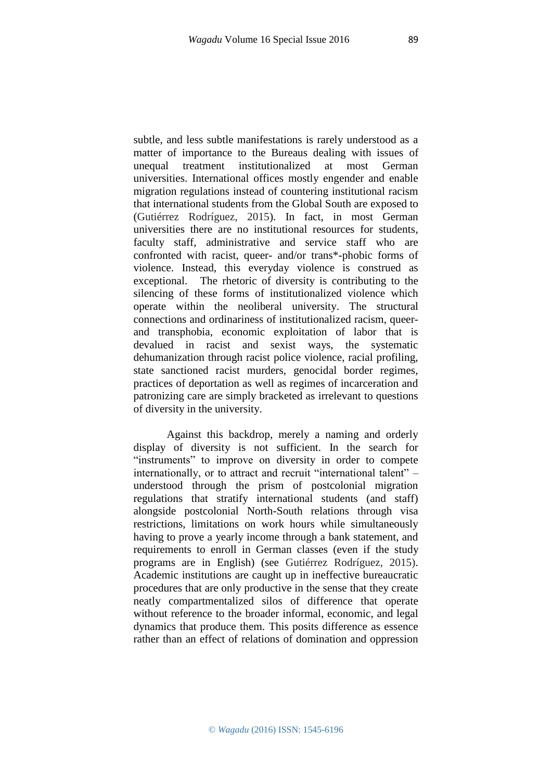subtle, and less subtle manifestations is rarely understood as a matter of importance to the Bureaus dealing with issues of unequal treatment institutionalized at most German universities. International offices mostly engender and enable migration regulations instead of countering institutional racism that international students from the Global South are exposed to (Gutiérrez Rodríguez, 2015). In fact, in most German universities there are no institutional resources for students, faculty staff, administrative and service staff who are confronted with racist, queer- and/or trans\*-phobic forms of violence. Instead, this everyday violence is construed as exceptional. The rhetoric of diversity is contributing to the silencing of these forms of institutionalized violence which operate within the neoliberal university. The structural connections and ordinariness of institutionalized racism, queerand transphobia, economic exploitation of labor that is devalued in racist and sexist ways, the systematic dehumanization through racist police violence, racial profiling, state sanctioned racist murders, genocidal border regimes, practices of deportation as well as regimes of incarceration and patronizing care are simply bracketed as irrelevant to questions of diversity in the university.

Against this backdrop, merely a naming and orderly display of diversity is not sufficient. In the search for "instruments" to improve on diversity in order to compete internationally, or to attract and recruit "international talent" – understood through the prism of postcolonial migration regulations that stratify international students (and staff) alongside postcolonial North-South relations through visa restrictions, limitations on work hours while simultaneously having to prove a yearly income through a bank statement, and requirements to enroll in German classes (even if the study programs are in English) (see Gutiérrez Rodríguez, 2015). Academic institutions are caught up in ineffective bureaucratic procedures that are only productive in the sense that they create neatly compartmentalized silos of difference that operate without reference to the broader informal, economic, and legal dynamics that produce them. This posits difference as essence rather than an effect of relations of domination and oppression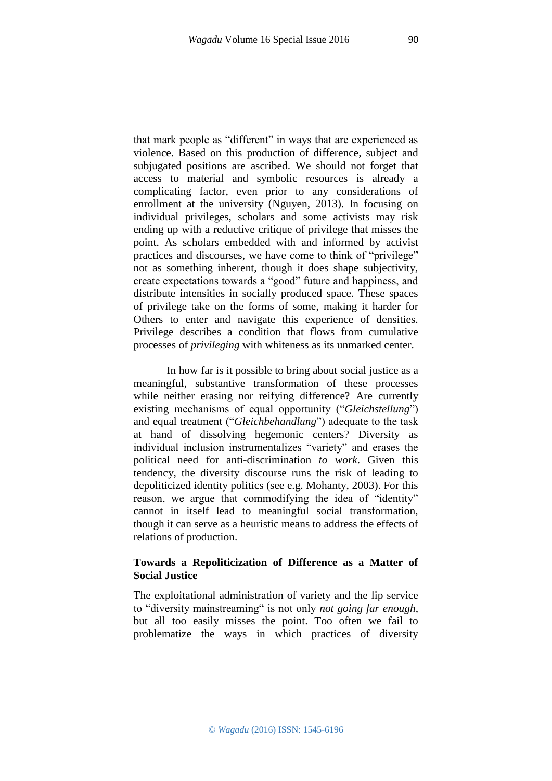that mark people as "different" in ways that are experienced as violence. Based on this production of difference, subject and subjugated positions are ascribed. We should not forget that access to material and symbolic resources is already a complicating factor, even prior to any considerations of enrollment at the university (Nguyen, 2013). In focusing on individual privileges, scholars and some activists may risk ending up with a reductive critique of privilege that misses the point. As scholars embedded with and informed by activist practices and discourses, we have come to think of "privilege" not as something inherent, though it does shape subjectivity, create expectations towards a "good" future and happiness, and distribute intensities in socially produced space. These spaces of privilege take on the forms of some, making it harder for Others to enter and navigate this experience of densities. Privilege describes a condition that flows from cumulative processes of *privileging* with whiteness as its unmarked center.

In how far is it possible to bring about social justice as a meaningful, substantive transformation of these processes while neither erasing nor reifying difference? Are currently existing mechanisms of equal opportunity ("*Gleichstellung*") and equal treatment ("*Gleichbehandlung*") adequate to the task at hand of dissolving hegemonic centers? Diversity as individual inclusion instrumentalizes "variety" and erases the political need for anti-discrimination *to work*. Given this tendency, the diversity discourse runs the risk of leading to depoliticized identity politics (see e.g. Mohanty, 2003). For this reason, we argue that commodifying the idea of "identity" cannot in itself lead to meaningful social transformation, though it can serve as a heuristic means to address the effects of relations of production.

## **Towards a Repoliticization of Difference as a Matter of Social Justice**

The exploitational administration of variety and the lip service to "diversity mainstreaming" is not only *not going far enough*, but all too easily misses the point. Too often we fail to problematize the ways in which practices of diversity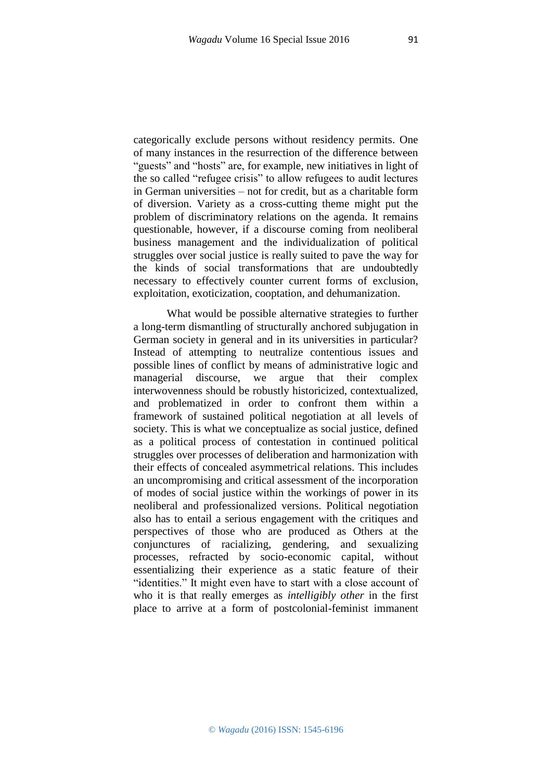categorically exclude persons without residency permits. One of many instances in the resurrection of the difference between "guests" and "hosts" are, for example, new initiatives in light of the so called "refugee crisis" to allow refugees to audit lectures in German universities – not for credit, but as a charitable form of diversion. Variety as a cross-cutting theme might put the problem of discriminatory relations on the agenda. It remains questionable, however, if a discourse coming from neoliberal business management and the individualization of political struggles over social justice is really suited to pave the way for the kinds of social transformations that are undoubtedly necessary to effectively counter current forms of exclusion,

exploitation, exoticization, cooptation, and dehumanization.

What would be possible alternative strategies to further a long-term dismantling of structurally anchored subjugation in German society in general and in its universities in particular? Instead of attempting to neutralize contentious issues and possible lines of conflict by means of administrative logic and managerial discourse, we argue that their complex interwovenness should be robustly historicized, contextualized, and problematized in order to confront them within a framework of sustained political negotiation at all levels of society. This is what we conceptualize as social justice, defined as a political process of contestation in continued political struggles over processes of deliberation and harmonization with their effects of concealed asymmetrical relations. This includes an uncompromising and critical assessment of the incorporation of modes of social justice within the workings of power in its neoliberal and professionalized versions. Political negotiation also has to entail a serious engagement with the critiques and perspectives of those who are produced as Others at the conjunctures of racializing, gendering, and sexualizing processes, refracted by socio-economic capital, without essentializing their experience as a static feature of their "identities." It might even have to start with a close account of who it is that really emerges as *intelligibly other* in the first place to arrive at a form of postcolonial-feminist immanent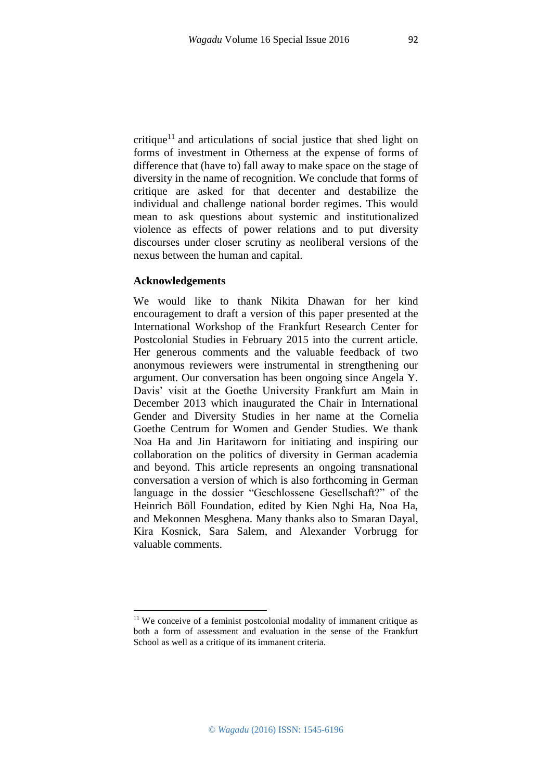critique<sup>11</sup> and articulations of social justice that shed light on forms of investment in Otherness at the expense of forms of difference that (have to) fall away to make space on the stage of diversity in the name of recognition. We conclude that forms of critique are asked for that decenter and destabilize the individual and challenge national border regimes. This would mean to ask questions about systemic and institutionalized violence as effects of power relations and to put diversity discourses under closer scrutiny as neoliberal versions of the nexus between the human and capital.

### **Acknowledgements**

1

We would like to thank Nikita Dhawan for her kind encouragement to draft a version of this paper presented at the International Workshop of the Frankfurt Research Center for Postcolonial Studies in February 2015 into the current article. Her generous comments and the valuable feedback of two anonymous reviewers were instrumental in strengthening our argument. Our conversation has been ongoing since Angela Y. Davis' visit at the Goethe University Frankfurt am Main in December 2013 which inaugurated the Chair in International Gender and Diversity Studies in her name at the Cornelia Goethe Centrum for Women and Gender Studies. We thank Noa Ha and Jin Haritaworn for initiating and inspiring our collaboration on the politics of diversity in German academia and beyond. This article represents an ongoing transnational conversation a version of which is also forthcoming in German language in the dossier "Geschlossene Gesellschaft?" of the Heinrich Böll Foundation, edited by Kien Nghi Ha, Noa Ha, and Mekonnen Mesghena. Many thanks also to Smaran Dayal, Kira Kosnick, Sara Salem, and Alexander Vorbrugg for valuable comments.

<sup>&</sup>lt;sup>11</sup> We conceive of a feminist postcolonial modality of immanent critique as both a form of assessment and evaluation in the sense of the Frankfurt School as well as a critique of its immanent criteria.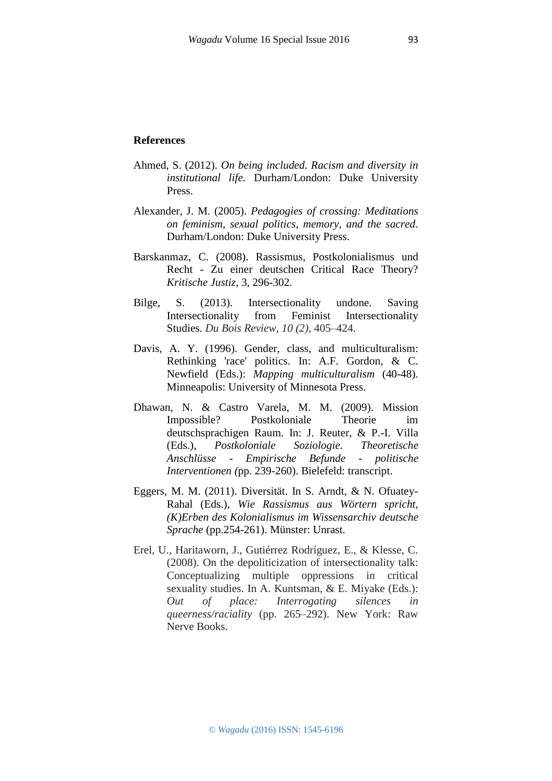- Ahmed, S. (2012). *On being included. Racism and diversity in institutional life.* Durham/London: Duke University Press.
- Alexander, J. M. (2005). *Pedagogies of crossing: Meditations on feminism, sexual politics, memory, and the sacred*. Durham/London: Duke University Press.
- Barskanmaz, C. (2008). Rassismus, Postkolonialismus und Recht - Zu einer deutschen Critical Race Theory? *Kritische Justiz*, 3, 296-302.
- Bilge, S. (2013). Intersectionality undone. Saving Intersectionality from Feminist Intersectionality Studies. *Du Bois Review*, *10 (2)*, 405–424.
- Davis, A. Y. (1996). Gender, class, and multiculturalism: Rethinking 'race' politics. In: A.F. Gordon, & C. Newfield (Eds.): *Mapping multiculturalism* (40-48). Minneapolis: University of Minnesota Press.
- Dhawan, N. & Castro Varela, M. M. (2009). Mission Impossible? Postkoloniale Theorie im deutschsprachigen Raum. In: J. Reuter, & P.-I. Villa (Eds.), *Postkoloniale Soziologie. Theoretische Anschlüsse - Empirische Befunde - politische Interventionen (*pp. 239-260). Bielefeld: transcript.
- Eggers, M. M. (2011). Diversität. In S. Arndt, & N. Ofuatey-Rahal (Eds.), *Wie Rassismus aus Wörtern spricht, (K)Erben des Kolonialismus im Wissensarchiv deutsche Sprache* (pp.254-261). Münster: Unrast.
- Erel, U., Haritaworn, J., Gutiérrez Rodríguez, E., & Klesse, C. (2008). On the depoliticization of intersectionality talk: Conceptualizing multiple oppressions in critical sexuality studies. In A. Kuntsman, & E. Miyake (Eds.): *Out of place: Interrogating silences in queerness/raciality* (pp. 265–292). New York: Raw Nerve Books.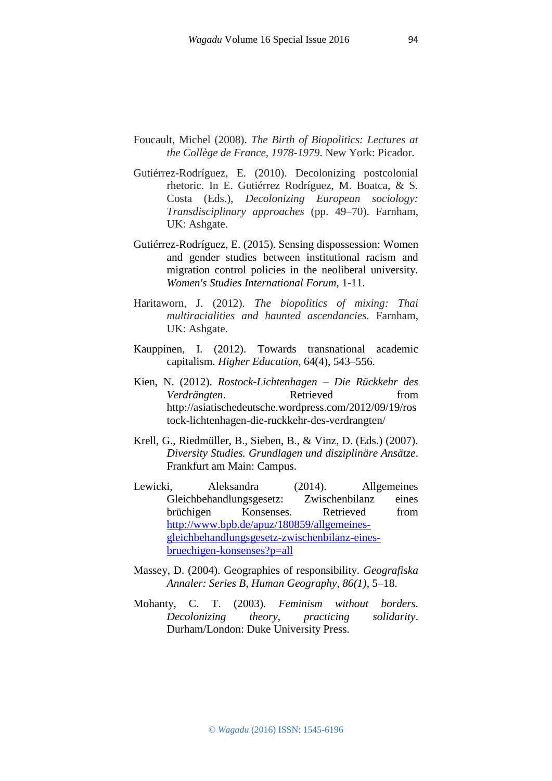- Foucault, Michel (2008). *The Birth of Biopolitics: Lectures at the Collège de France, 1978-1979*. New York: Picador.
- Gutiérrez-Rodríguez, E. (2010). Decolonizing postcolonial rhetoric. In E. Gutiérrez Rodríguez, M. Boatca, & S. Costa (Eds.), *Decolonizing European sociology: Transdisciplinary approaches* (pp. 49–70). Farnham, UK: Ashgate.
- Gutiérrez-Rodríguez, E. (2015). Sensing dispossession: Women and gender studies between institutional racism and migration control policies in the neoliberal university. *Women's Studies International Forum*, 1-11.
- Haritaworn, J. (2012). *The biopolitics of mixing: Thai multiracialities and haunted ascendancies.* Farnham, UK: Ashgate.
- Kauppinen, I. (2012). Towards transnational academic capitalism. *Higher Education*, 64(4), 543–556.
- Kien, N. (2012). *Rostock-Lichtenhagen – Die Rückkehr des Verdrängten*. Retrieved from http://asiatischedeutsche.wordpress.com/2012/09/19/ros tock-lichtenhagen-die-ruckkehr-des-verdrangten/
- Krell, G., Riedmüller, B., Sieben, B., & Vinz, D. (Eds.) (2007). *Diversity Studies. Grundlagen und disziplinäre Ansätze*. Frankfurt am Main: Campus.
- Lewicki, Aleksandra (2014). Allgemeines Gleichbehandlungsgesetz: Zwischenbilanz eines brüchigen Konsenses. Retrieved from [http://www.bpb.de/apuz/180859/allgemeines](http://www.bpb.de/apuz/180859/allgemeines-gleichbehandlungsgesetz-zwischenbilanz-eines-bruechigen-konsenses?p=all)[gleichbehandlungsgesetz-zwischenbilanz-eines](http://www.bpb.de/apuz/180859/allgemeines-gleichbehandlungsgesetz-zwischenbilanz-eines-bruechigen-konsenses?p=all)[bruechigen-konsenses?p=all](http://www.bpb.de/apuz/180859/allgemeines-gleichbehandlungsgesetz-zwischenbilanz-eines-bruechigen-konsenses?p=all)
- Massey, D. (2004). Geographies of responsibility. *Geografiska Annaler: Series B, Human Geography, 86(1)*, 5–18.
- Mohanty, C. T. (2003). *Feminism without borders. Decolonizing theory, practicing solidarity*. Durham/London: Duke University Press.